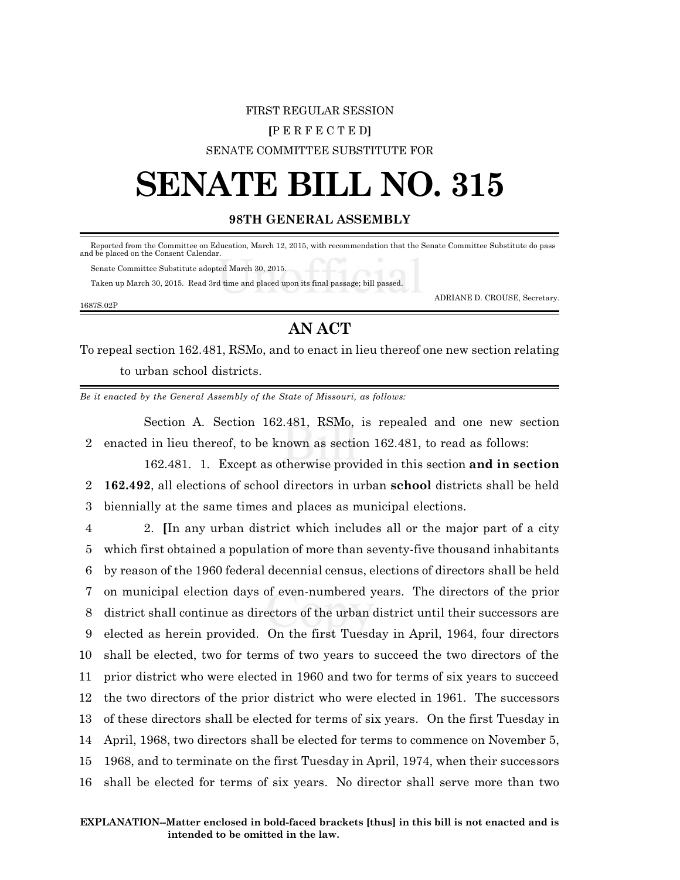# FIRST REGULAR SESSION **[**P E R F E C T E D**]** SENATE COMMITTEE SUBSTITUTE FOR

# **SENATE BILL NO. 315**

## **98TH GENERAL ASSEMBLY**

 Reported from the Committee on Education, March 12, 2015, with recommendation that the Senate Committee Substitute do pass and be placed on the Consent Calendar.

Senate Committee Substitute adopted March 30, 2015.

Taken up March 30, 2015. Read 3rd time and placed upon its final passage; bill passed.

ADRIANE D. CROUSE, Secretary.

### 1687S.02P

# **AN ACT**

To repeal section 162.481, RSMo, and to enact in lieu thereof one new section relating to urban school districts.

*Be it enacted by the General Assembly of the State of Missouri, as follows:*

Section A. Section 162.481, RSMo, is repealed and one new section 2 enacted in lieu thereof, to be known as section 162.481, to read as follows:

162.481. 1. Except as otherwise provided in this section **and in section** 2 **162.492**, all elections of school directors in urban **school** districts shall be held 3 biennially at the same times and places as municipal elections.

 2. **[**In any urban district which includes all or the major part of a city which first obtained a population of more than seventy-five thousand inhabitants by reason of the 1960 federal decennial census, elections of directors shall be held on municipal election days of even-numbered years. The directors of the prior district shall continue as directors of the urban district until their successors are elected as herein provided. On the first Tuesday in April, 1964, four directors shall be elected, two for terms of two years to succeed the two directors of the prior district who were elected in 1960 and two for terms of six years to succeed the two directors of the prior district who were elected in 1961. The successors of these directors shall be elected for terms of six years. On the first Tuesday in April, 1968, two directors shall be elected for terms to commence on November 5, 1968, and to terminate on the first Tuesday in April, 1974, when their successors shall be elected for terms of six years. No director shall serve more than two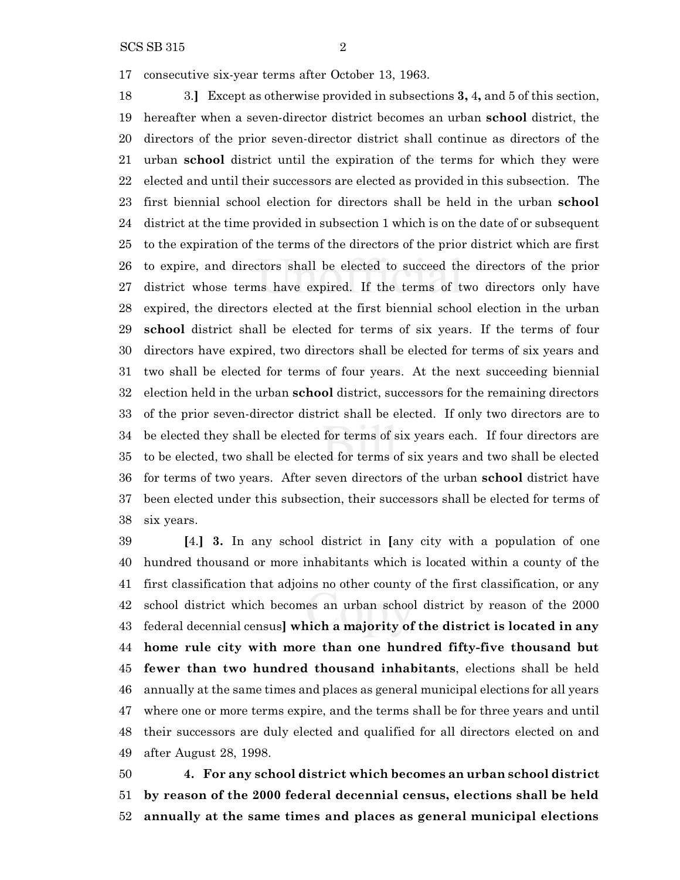SCS SB 315 2

consecutive six-year terms after October 13, 1963.

 3.**]** Except as otherwise provided in subsections **3,** 4**,** and 5 of this section, hereafter when a seven-director district becomes an urban **school** district, the directors of the prior seven-director district shall continue as directors of the urban **school** district until the expiration of the terms for which they were elected and until their successors are elected as provided in this subsection. The first biennial school election for directors shall be held in the urban **school** district at the time provided in subsection 1 which is on the date of or subsequent to the expiration of the terms of the directors of the prior district which are first to expire, and directors shall be elected to succeed the directors of the prior district whose terms have expired. If the terms of two directors only have expired, the directors elected at the first biennial school election in the urban **school** district shall be elected for terms of six years. If the terms of four directors have expired, two directors shall be elected for terms of six years and two shall be elected for terms of four years. At the next succeeding biennial election held in the urban **school** district, successors for the remaining directors of the prior seven-director district shall be elected. If only two directors are to be elected they shall be elected for terms of six years each. If four directors are to be elected, two shall be elected for terms of six years and two shall be elected for terms of two years. After seven directors of the urban **school** district have been elected under this subsection, their successors shall be elected for terms of six years.

 **[**4.**] 3.** In any school district in **[**any city with a population of one hundred thousand or more inhabitants which is located within a county of the first classification that adjoins no other county of the first classification, or any school district which becomes an urban school district by reason of the 2000 federal decennial census**] which a majority of the district is located in any home rule city with more than one hundred fifty-five thousand but fewer than two hundred thousand inhabitants**, elections shall be held annually at the same times and places as general municipal elections for all years where one or more terms expire, and the terms shall be for three years and until their successors are duly elected and qualified for all directors elected on and after August 28, 1998.

 **4. For any school district which becomes an urban school district by reason of the 2000 federal decennial census, elections shall be held annually at the same times and places as general municipal elections**